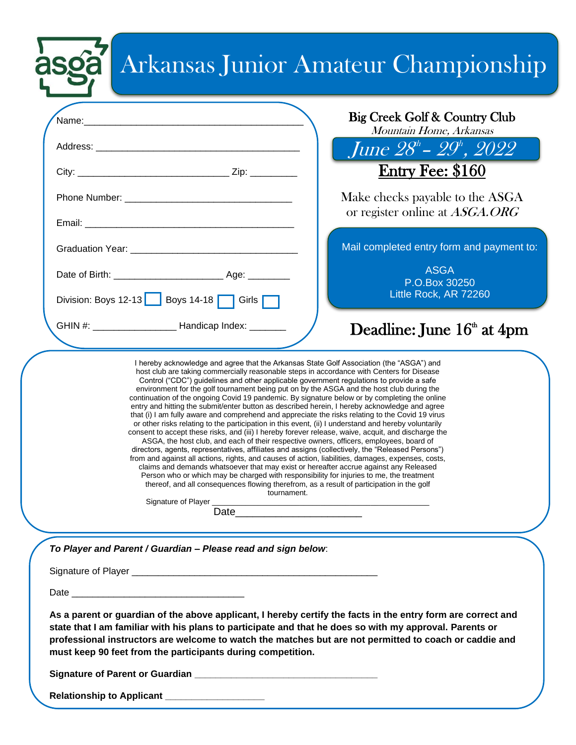# Arkansas Junior Amateur Championship

asga

|                                                                                                                                                                                                                                                                                                                                                                                                                                                                                                                                                                                                                                                                                                                                                                                                                                                                                                                                                                                                                                                                                                                                                                                                                                                                                                                                                                                                                                                                                                                                                                              | Big Creek Golf & Country Club<br>Mountain Home, Arkansas          |
|------------------------------------------------------------------------------------------------------------------------------------------------------------------------------------------------------------------------------------------------------------------------------------------------------------------------------------------------------------------------------------------------------------------------------------------------------------------------------------------------------------------------------------------------------------------------------------------------------------------------------------------------------------------------------------------------------------------------------------------------------------------------------------------------------------------------------------------------------------------------------------------------------------------------------------------------------------------------------------------------------------------------------------------------------------------------------------------------------------------------------------------------------------------------------------------------------------------------------------------------------------------------------------------------------------------------------------------------------------------------------------------------------------------------------------------------------------------------------------------------------------------------------------------------------------------------------|-------------------------------------------------------------------|
|                                                                                                                                                                                                                                                                                                                                                                                                                                                                                                                                                                                                                                                                                                                                                                                                                                                                                                                                                                                                                                                                                                                                                                                                                                                                                                                                                                                                                                                                                                                                                                              | June $28^h$ – $29^h$ , $2022$                                     |
|                                                                                                                                                                                                                                                                                                                                                                                                                                                                                                                                                                                                                                                                                                                                                                                                                                                                                                                                                                                                                                                                                                                                                                                                                                                                                                                                                                                                                                                                                                                                                                              | <b>Entry Fee: \$160</b>                                           |
|                                                                                                                                                                                                                                                                                                                                                                                                                                                                                                                                                                                                                                                                                                                                                                                                                                                                                                                                                                                                                                                                                                                                                                                                                                                                                                                                                                                                                                                                                                                                                                              | Make checks payable to the ASGA<br>or register online at ASGA.ORG |
|                                                                                                                                                                                                                                                                                                                                                                                                                                                                                                                                                                                                                                                                                                                                                                                                                                                                                                                                                                                                                                                                                                                                                                                                                                                                                                                                                                                                                                                                                                                                                                              | Mail completed entry form and payment to:                         |
|                                                                                                                                                                                                                                                                                                                                                                                                                                                                                                                                                                                                                                                                                                                                                                                                                                                                                                                                                                                                                                                                                                                                                                                                                                                                                                                                                                                                                                                                                                                                                                              | <b>ASGA</b><br>P.O.Box 30250                                      |
| Division: Boys 12-13   Boys 14-18   Girls                                                                                                                                                                                                                                                                                                                                                                                                                                                                                                                                                                                                                                                                                                                                                                                                                                                                                                                                                                                                                                                                                                                                                                                                                                                                                                                                                                                                                                                                                                                                    | Little Rock, AR 72260                                             |
| GHIN #: ____________________________ Handicap Index: _________                                                                                                                                                                                                                                                                                                                                                                                                                                                                                                                                                                                                                                                                                                                                                                                                                                                                                                                                                                                                                                                                                                                                                                                                                                                                                                                                                                                                                                                                                                               | Deadline: June $16th$ at $4$ pm                                   |
| Control ("CDC") guidelines and other applicable government regulations to provide a safe<br>environment for the golf tournament being put on by the ASGA and the host club during the<br>continuation of the ongoing Covid 19 pandemic. By signature below or by completing the online<br>entry and hitting the submit/enter button as described herein, I hereby acknowledge and agree<br>that (i) I am fully aware and comprehend and appreciate the risks relating to the Covid 19 virus<br>or other risks relating to the participation in this event, (ii) I understand and hereby voluntarily<br>consent to accept these risks, and (iii) I hereby forever release, waive, acquit, and discharge the<br>ASGA, the host club, and each of their respective owners, officers, employees, board of<br>directors, agents, representatives, affiliates and assigns (collectively, the "Released Persons")<br>from and against all actions, rights, and causes of action, liabilities, damages, expenses, costs,<br>claims and demands whatsoever that may exist or hereafter accrue against any Released<br>Person who or which may be charged with responsibility for injuries to me, the treatment<br>thereof, and all consequences flowing therefrom, as a result of participation in the golf<br>tournament.<br>Signature of Player _<br>Date and the contract of the contract of the contract of the contract of the contract of the contract of the contract of the contract of the contract of the contract of the contract of the contract of the contract of the c |                                                                   |
| To Player and Parent / Guardian - Please read and sign below:                                                                                                                                                                                                                                                                                                                                                                                                                                                                                                                                                                                                                                                                                                                                                                                                                                                                                                                                                                                                                                                                                                                                                                                                                                                                                                                                                                                                                                                                                                                |                                                                   |
|                                                                                                                                                                                                                                                                                                                                                                                                                                                                                                                                                                                                                                                                                                                                                                                                                                                                                                                                                                                                                                                                                                                                                                                                                                                                                                                                                                                                                                                                                                                                                                              |                                                                   |
|                                                                                                                                                                                                                                                                                                                                                                                                                                                                                                                                                                                                                                                                                                                                                                                                                                                                                                                                                                                                                                                                                                                                                                                                                                                                                                                                                                                                                                                                                                                                                                              |                                                                   |
| As a parent or guardian of the above applicant, I hereby certify the facts in the entry form are correct and<br>state that I am familiar with his plans to participate and that he does so with my approval. Parents or<br>professional instructors are welcome to watch the matches but are not permitted to coach or caddie and<br>must keep 90 feet from the participants during competition.                                                                                                                                                                                                                                                                                                                                                                                                                                                                                                                                                                                                                                                                                                                                                                                                                                                                                                                                                                                                                                                                                                                                                                             |                                                                   |
|                                                                                                                                                                                                                                                                                                                                                                                                                                                                                                                                                                                                                                                                                                                                                                                                                                                                                                                                                                                                                                                                                                                                                                                                                                                                                                                                                                                                                                                                                                                                                                              |                                                                   |
| Relationship to Applicant _____________________                                                                                                                                                                                                                                                                                                                                                                                                                                                                                                                                                                                                                                                                                                                                                                                                                                                                                                                                                                                                                                                                                                                                                                                                                                                                                                                                                                                                                                                                                                                              |                                                                   |